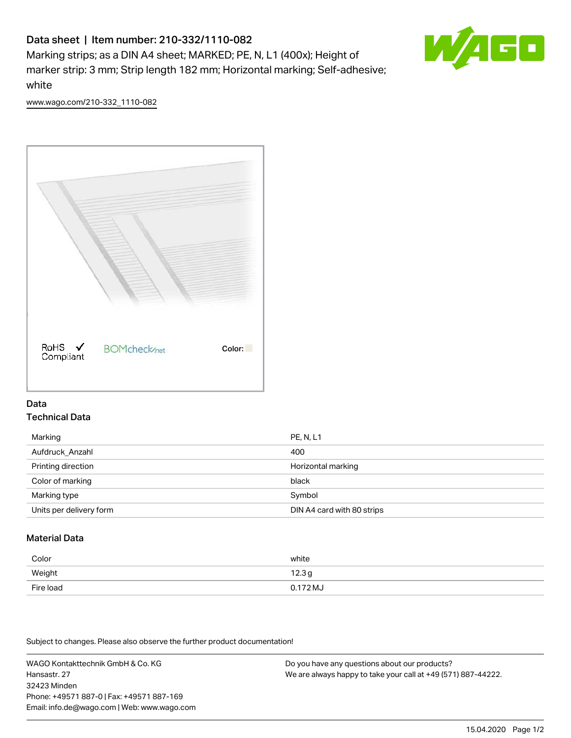# Data sheet | Item number: 210-332/1110-082

Marking strips; as a DIN A4 sheet; MARKED; PE, N, L1 (400x); Height of marker strip: 3 mm; Strip length 182 mm; Horizontal marking; Self-adhesive; white



[www.wago.com/210-332\\_1110-082](http://www.wago.com/210-332_1110-082)



#### Data Technical Data

| Marking                 | <b>PE, N, L1</b>           |
|-------------------------|----------------------------|
| Aufdruck_Anzahl         | 400                        |
| Printing direction      | Horizontal marking         |
| Color of marking        | black                      |
| Marking type            | Symbol                     |
| Units per delivery form | DIN A4 card with 80 strips |

## Material Data

| Color     | white    |
|-----------|----------|
| Weight    | 12.3g    |
| Fire load | 0.172 MJ |

Subject to changes. Please also observe the further product documentation!

WAGO Kontakttechnik GmbH & Co. KG Hansastr. 27 32423 Minden Phone: +49571 887-0 | Fax: +49571 887-169 Email: info.de@wago.com | Web: www.wago.com Do you have any questions about our products? We are always happy to take your call at +49 (571) 887-44222.